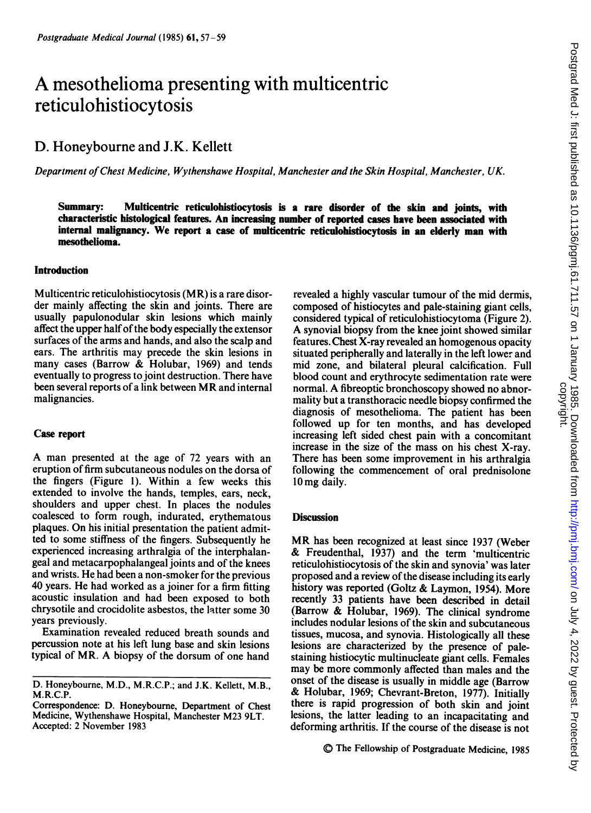# A mesothelioma presenting with multicentric reticulohistiocytosis

# D. Honeybourne and J.K. Kellett

Department ofChest Medicine, Wythenshawe Hospital, Manchester and the Skin Hospital, Manchester, UK.

Summary: Multicentric reticulohistiocytosis is a rare disorder of the skin and joints, with characteristic histological features. An increasing number of reported cases have been associated with internal malignancy. We report <sup>a</sup> case of multicentric reticulohistiocytosis in an elderly man with mesothelioma.

### **Introduction**

Multicentric reticulohistiocytosis (MR) is a rare disorder mainly affecting the skin and joints. There are usually papulonodular skin lesions which mainly affect the upper half of the body especially the extensor surfaces of the arms and hands, and also the scalp and ears. The arthritis may precede the skin lesions in many cases (Barrow & Holubar, 1969) and tends eventually to progress to joint destruction. There have been several reports of <sup>a</sup> link between MR and internal malignancies.

#### Case report

A man presented at the age of <sup>72</sup> years with an eruption of firm subcutaneous nodules on the dorsa of the fingers (Figure 1). Within a few weeks this extended to involve the hands, temples, ears, neck, shoulders and upper chest. In places the nodules coalesced to form rough, indurated, erythematous plaques. On his initial presentation the patient admitted to some stiffness of the fingers. Subsequently he experienced increasing arthralgia of the interphalangeal and metacarpophalangeal joints and of the knees and wrists. He had been a non-smoker for the previous 40 years. He had worked as a joiner for a firm fitting acoustic insulation and had been exposed to both chrysotile and crocidolite asbestos, the latter some 30 years previously.

Examination revealed reduced breath sounds and percussion note at his left lung base and skin lesions typical of MR. A biopsy of the dorsum of one hand

revealed a highly vascular tumour of the mid dermis, composed of histiocytes and pale-staining giant cells, considered typical of reticulohistiocytoma (Figure 2). A synovial biopsy from the knee joint showed similar features. Chest X-ray revealed an homogenous opacity situated peripherally and laterally in the left lower and mid zone, and bilateral pleural calcification. Full blood count and erythrocyte sedimentation rate were normal. A fibreoptic bronchoscopy showed no abnormality but a transthoracic needle biopsy confirmed the diagnosis of mesothelioma. The patient has been followed up for ten months, and has developed increasing left sided chest pain with a concomitant increase in the size of the mass on his chest X-ray. There has been some improvement in his arthralgia following the commencement of oral prednisolone 1Omg daily.

## **Discussion**

MR has been recognized at least since <sup>1937</sup> (Weber  $&$  Freudenthal, 1937) and the term 'multicentric reticulohistiocytosis of the skin and synovia' was later proposed and a review of the disease including its early history was reported (Goltz & Laymon, 1954). More recently 33 patients have been described in detail (Barrow & Holubar, 1969). The clinical syndrome includes nodular lesions of the skin and subcutaneous tissues, mucosa, and synovia. Histologically all these lesions are characterized by the presence of palestaining histiocytic multinucleate giant cells. Females may be more commonly affected than males and the onset of the disease is usually in middle age (Barrow & Holubar, 1969; Chevrant-Breton, 1977). Initially there is rapid progression of both skin and joint lesions, the latter leading to an incapacitating and deforming arthritis. If the course of the disease is not

D. Honeybourne, M.D., M.R.C.P.; and J.K. Kellett, M.B., M.R.C.P.

Correspondence: D. Honeybourne, Department of Chest Medicine, Wythenshawe Hospital, Manchester M23 9LT. Accepted: 2 November 1983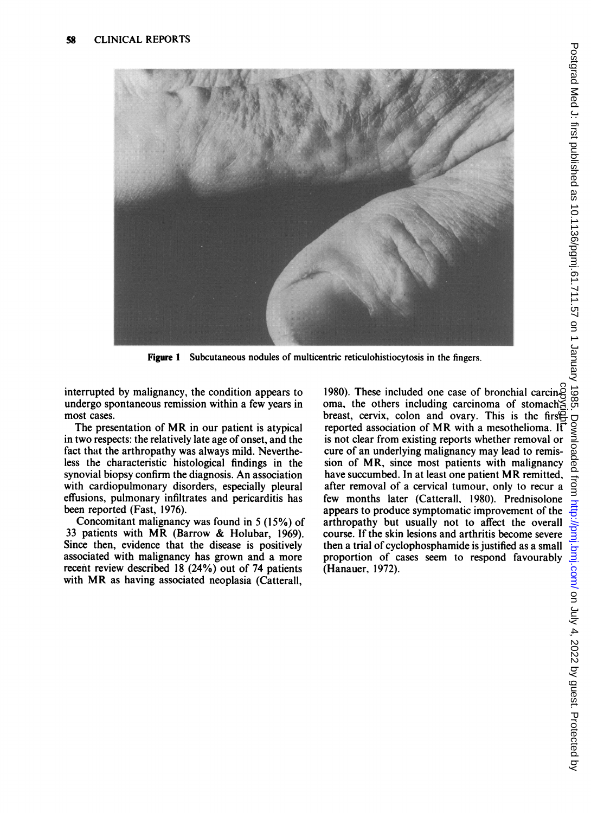

Figure <sup>I</sup> Subcutaneous nodules of multicentric reticulohistiocytosis in the fingers.

interrupted by malignancy, the condition appears to undergo spontaneous remission within a few years in most cases.

The presentation of MR in our patient is atypical in two respects: the relatively late age of onset, and the fact that the arthropathy was always mild. Nevertheless the characteristic histological findings in the synovial biopsy confirm the diagnosis. An association with cardiopulmonary disorders, especially pleural effusions, pulmonary infiltrates and pericarditis has been reported (Fast, 1976).

Concomitant malignancy was found in 5 (15%) of <sup>33</sup> patients with MR (Barrow & Holubar, 1969). Since then, evidence that the disease is positively associated with malignancy has grown and a more recent review described 18 (24%) out of 74 patients with MR as having associated neoplasia (Catterall,

1980). These included one case of bronchial carcinom<br>
oma, the others including carcinoma of stomach  $\leq$ <br>
breast, cervix, colon and ovary. This is the first-<br>
reported association of MP with mass believes oma, the others including carcinoma of stomach breast, cervix, colon and ovary. This is the first  $\mathbb{R}$ is not clear from existing reports whether removal or cure of an underlying malignancy may lead to remission of MR, since most patients with malignancy have succumbed. In at least one patient MR remitted, after removal of a cervical tumour, only to recur a few months later (Catterall, 1980). Prednisolone appears to produce symptomatic improvement of the arthropathy but usually not to affect the overall course. If the skin lesions and arthritis become severe then a trial of cyclophosphamide is justified as a small proportion of cases seem to respond favourably (Hanauer, 1972).